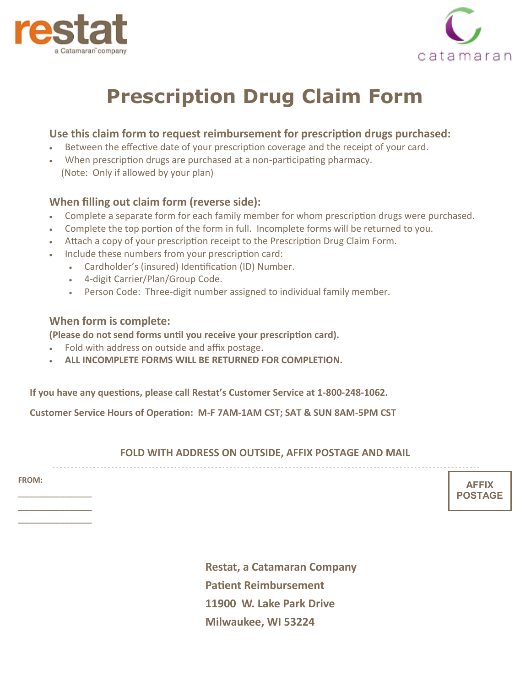



# **Prescription Drug Claim Form**

### **Use this claim form to request reimbursement for prescription drugs purchased:**

- Between the effective date of your prescription coverage and the receipt of your card.
- When prescription drugs are purchased at a non-participating pharmacy. (Note: Only if allowed by your plan)

## **When filling out claim form (reverse side):**

- Complete a separate form for each family member for whom prescription drugs were purchased.
- Complete the top portion of the form in full. Incomplete forms will be returned to you.
- Attach a copy of your prescription receipt to the Prescription Drug Claim Form.
- Include these numbers from your prescription card:
	- Cardholder's (insured) Identification (ID) Number.
	- 4-digit Carrier/Plan/Group Code.
	- Person Code: Three-digit number assigned to individual family member.

#### **When form is complete:**

**(Please do not send forms until you receive your prescription card).**

- Fold with address on outside and affix postage.
- **ALL INCOMPLETE FORMS WILL BE RETURNED FOR COMPLETION.**

**If you have any questions, please call Restat's Customer Service at 1-800-248-1062.**

**Customer Service Hours of Operation: M-F 7AM-1AM CST; SAT & SUN 8AM-5PM CST**

#### **FOLD WITH ADDRESS ON OUTSIDE, AFFIX POSTAGE AND MAIL**

- - - - - - - - - - - - - - - - - - - - - - - - - - - - - - - - - - - - - - - - - - - - - - - - - - - - - - - - - - - - - - - - - - - - - - - - - - - - - - - - - - - - - - - - - - - - - - - - - - - - - - - - - - - - - - - - - - - -

**FROM:** 

**\_\_\_\_\_\_\_\_\_\_\_\_\_\_\_\_\_\_\_ \_\_\_\_\_\_\_\_\_\_\_\_\_\_\_\_\_\_\_ \_\_\_\_\_\_\_\_\_\_\_\_\_\_\_\_\_\_\_**

**AFFIX POSTAGE**

**Restat, a Catamaran Company Patient Reimbursement 11900 W. Lake Park Drive Milwaukee, WI 53224**